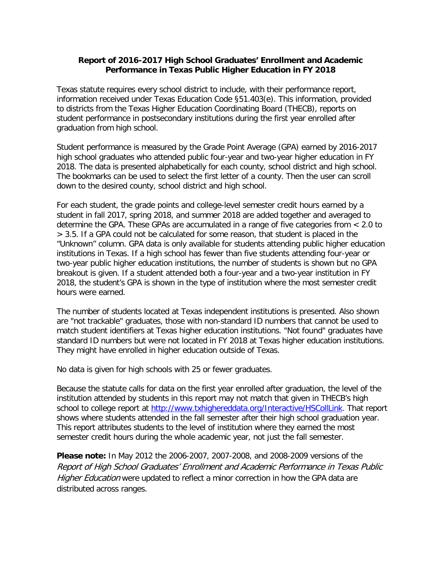## **Report of 2016-2017 High School Graduates' Enrollment and Academic Performance in Texas Public Higher Education in FY 2018**

Texas statute requires every school district to include, with their performance report, information received under Texas Education Code §51.403(e). This information, provided to districts from the Texas Higher Education Coordinating Board (THECB), reports on student performance in postsecondary institutions during the first year enrolled after graduation from high school.

Student performance is measured by the Grade Point Average (GPA) earned by 2016-2017 high school graduates who attended public four-year and two-year higher education in FY 2018. The data is presented alphabetically for each county, school district and high school. The bookmarks can be used to select the first letter of a county. Then the user can scroll down to the desired county, school district and high school.

For each student, the grade points and college-level semester credit hours earned by a student in fall 2017, spring 2018, and summer 2018 are added together and averaged to determine the GPA. These GPAs are accumulated in a range of five categories from < 2.0 to > 3.5. If a GPA could not be calculated for some reason, that student is placed in the "Unknown" column. GPA data is only available for students attending public higher education institutions in Texas. If a high school has fewer than five students attending four-year or two-year public higher education institutions, the number of students is shown but no GPA breakout is given. If a student attended both a four-year and a two-year institution in FY 2018, the student's GPA is shown in the type of institution where the most semester credit hours were earned.

The number of students located at Texas independent institutions is presented. Also shown are "not trackable" graduates, those with non-standard ID numbers that cannot be used to match student identifiers at Texas higher education institutions. "Not found" graduates have standard ID numbers but were not located in FY 2018 at Texas higher education institutions. They might have enrolled in higher education outside of Texas.

No data is given for high schools with 25 or fewer graduates.

Because the statute calls for data on the first year enrolled after graduation, the level of the institution attended by students in this report may not match that given in THECB's high school to college report at [http://www.txhighereddata.org/Interactive/HSCollLink.](http://www.txhighereddata.org/Interactive/HSCollLink) That report shows where students attended in the fall semester after their high school graduation year. This report attributes students to the level of institution where they earned the most semester credit hours during the whole academic year, not just the fall semester.

**Please note:** In May 2012 the 2006-2007, 2007-2008, and 2008-2009 versions of the Report of High School Graduates' Enrollment and Academic Performance in Texas Public Higher Education were updated to reflect a minor correction in how the GPA data are distributed across ranges.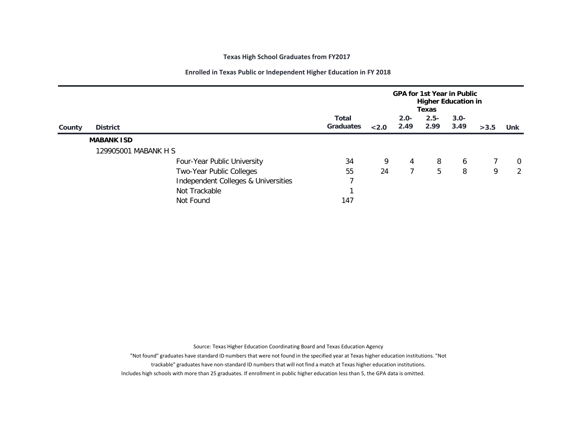## **Texas High School Graduates from FY2017**

## **Enrolled in Texas Public or Independent Higher Education in FY 2018**

|        |                      |                                     | <b>GPA for 1st Year in Public</b><br><b>Higher Education in</b><br>Texas |       |                 |                 |                 |      |                |
|--------|----------------------|-------------------------------------|--------------------------------------------------------------------------|-------|-----------------|-----------------|-----------------|------|----------------|
| County | <b>District</b>      |                                     | <b>Total</b><br><b>Graduates</b>                                         | < 2.0 | $2.0 -$<br>2.49 | $2.5 -$<br>2.99 | $3.0 -$<br>3.49 | >3.5 | <b>Unk</b>     |
|        | <b>MABANK ISD</b>    |                                     |                                                                          |       |                 |                 |                 |      |                |
|        | 129905001 MABANK H S |                                     |                                                                          |       |                 |                 |                 |      |                |
|        |                      | Four-Year Public University         | 34                                                                       | 9     | 4               | 8               | 6               |      | $\mathbf 0$    |
|        |                      | Two-Year Public Colleges            | 55                                                                       | 24    |                 | 5               | 8               | 9    | $\overline{2}$ |
|        |                      | Independent Colleges & Universities | 7                                                                        |       |                 |                 |                 |      |                |
|        |                      | Not Trackable                       |                                                                          |       |                 |                 |                 |      |                |
|        |                      | Not Found                           | 147                                                                      |       |                 |                 |                 |      |                |

Source: Texas Higher Education Coordinating Board and Texas Education Agency

"Not found" graduates have standard ID numbers that were not found in the specified year at Texas higher education institutions. "Not

trackable" graduates have non-standard ID numbers that will not find a match at Texas higher education institutions.

Includes high schools with more than 25 graduates. If enrollment in public higher education less than 5, the GPA data is omitted.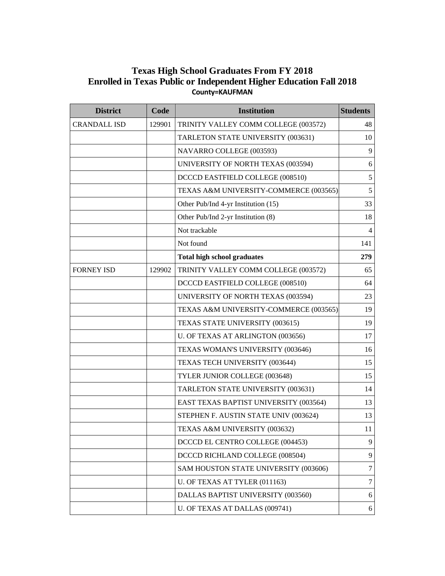## **Texas High School Graduates From FY 2018 Enrolled in Texas Public or Independent Higher Education Fall 2018 County=KAUFMAN**

| <b>District</b>     | Code   | <b>Institution</b>                     | <b>Students</b> |
|---------------------|--------|----------------------------------------|-----------------|
| <b>CRANDALL ISD</b> | 129901 | TRINITY VALLEY COMM COLLEGE (003572)   | 48              |
|                     |        | TARLETON STATE UNIVERSITY (003631)     | 10              |
|                     |        | NAVARRO COLLEGE (003593)               | 9               |
|                     |        | UNIVERSITY OF NORTH TEXAS (003594)     | 6               |
|                     |        | DCCCD EASTFIELD COLLEGE (008510)       | 5               |
|                     |        | TEXAS A&M UNIVERSITY-COMMERCE (003565) | 5               |
|                     |        | Other Pub/Ind 4-yr Institution (15)    | 33              |
|                     |        | Other Pub/Ind 2-yr Institution (8)     | 18              |
|                     |        | Not trackable                          | $\overline{4}$  |
|                     |        | Not found                              | 141             |
|                     |        | <b>Total high school graduates</b>     | 279             |
| <b>FORNEY ISD</b>   | 129902 | TRINITY VALLEY COMM COLLEGE (003572)   | 65              |
|                     |        | DCCCD EASTFIELD COLLEGE (008510)       | 64              |
|                     |        | UNIVERSITY OF NORTH TEXAS (003594)     | 23              |
|                     |        | TEXAS A&M UNIVERSITY-COMMERCE (003565) | 19              |
|                     |        | TEXAS STATE UNIVERSITY (003615)        | 19              |
|                     |        | U. OF TEXAS AT ARLINGTON (003656)      | 17              |
|                     |        | TEXAS WOMAN'S UNIVERSITY (003646)      | 16              |
|                     |        | TEXAS TECH UNIVERSITY (003644)         | 15              |
|                     |        | TYLER JUNIOR COLLEGE (003648)          | 15              |
|                     |        | TARLETON STATE UNIVERSITY (003631)     | 14              |
|                     |        | EAST TEXAS BAPTIST UNIVERSITY (003564) | 13              |
|                     |        | STEPHEN F. AUSTIN STATE UNIV (003624)  | 13              |
|                     |        | TEXAS A&M UNIVERSITY (003632)          | 11              |
|                     |        | DCCCD EL CENTRO COLLEGE (004453)       | 9               |
|                     |        | DCCCD RICHLAND COLLEGE (008504)        | 9               |
|                     |        | SAM HOUSTON STATE UNIVERSITY (003606)  | 7               |
|                     |        | U. OF TEXAS AT TYLER (011163)          | 7               |
|                     |        | DALLAS BAPTIST UNIVERSITY (003560)     | 6               |
|                     |        | U. OF TEXAS AT DALLAS (009741)         | 6               |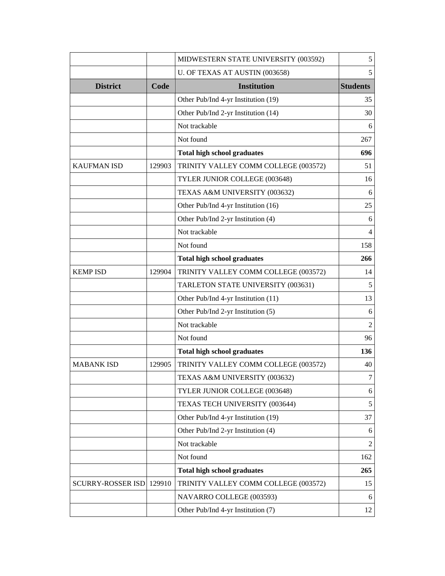|                    |           | MIDWESTERN STATE UNIVERSITY (003592) | $\mathfrak s$   |
|--------------------|-----------|--------------------------------------|-----------------|
|                    |           | U. OF TEXAS AT AUSTIN (003658)       | 5               |
| <b>District</b>    | Code      | <b>Institution</b>                   | <b>Students</b> |
|                    |           | Other Pub/Ind 4-yr Institution (19)  | 35              |
|                    |           | Other Pub/Ind 2-yr Institution (14)  | 30              |
|                    |           | Not trackable                        | 6               |
|                    |           | Not found                            | 267             |
|                    |           | <b>Total high school graduates</b>   | 696             |
| <b>KAUFMAN ISD</b> | 129903    | TRINITY VALLEY COMM COLLEGE (003572) | 51              |
|                    |           | TYLER JUNIOR COLLEGE (003648)        | 16              |
|                    |           | TEXAS A&M UNIVERSITY (003632)        | 6               |
|                    |           | Other Pub/Ind 4-yr Institution (16)  | 25              |
|                    |           | Other Pub/Ind 2-yr Institution (4)   | 6               |
|                    |           | Not trackable                        | 4               |
|                    |           | Not found                            | 158             |
|                    |           | <b>Total high school graduates</b>   | 266             |
| <b>KEMP ISD</b>    | 129904    | TRINITY VALLEY COMM COLLEGE (003572) | 14              |
|                    |           | TARLETON STATE UNIVERSITY (003631)   | 5               |
|                    |           | Other Pub/Ind 4-yr Institution (11)  | 13              |
|                    |           | Other Pub/Ind 2-yr Institution (5)   | 6               |
|                    |           | Not trackable                        | $\overline{2}$  |
|                    | Not found |                                      | 96              |
|                    |           | <b>Total high school graduates</b>   | 136             |
| <b>MABANK ISD</b>  | 129905    | TRINITY VALLEY COMM COLLEGE (003572) | 40              |
|                    |           | TEXAS A&M UNIVERSITY (003632)        | 7               |
|                    |           | TYLER JUNIOR COLLEGE (003648)        | 6               |
|                    |           | TEXAS TECH UNIVERSITY (003644)       | $\mathfrak s$   |
|                    |           | Other Pub/Ind 4-yr Institution (19)  | 37              |
|                    |           | Other Pub/Ind 2-yr Institution (4)   | 6               |
|                    |           | Not trackable                        | $\overline{2}$  |
|                    |           | Not found                            | 162             |
|                    |           | <b>Total high school graduates</b>   | 265             |
| SCURRY-ROSSER ISD  | 129910    | TRINITY VALLEY COMM COLLEGE (003572) | 15              |
|                    |           | NAVARRO COLLEGE (003593)             | 6               |
|                    |           | Other Pub/Ind 4-yr Institution (7)   | 12              |